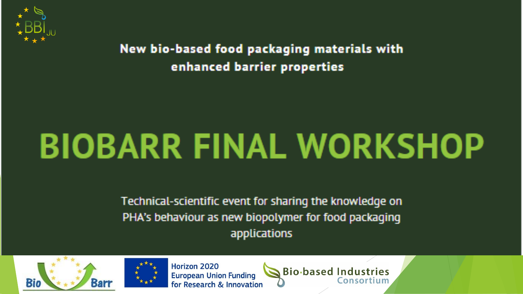

New bio-based food packaging materials with enhanced barrier properties

## **BIOBARR FINAL WORKSHOP**

Technical-scientific event for sharing the knowledge on PHA's behaviour as new biopolymer for food packaging applications





**Horizon 2020 European Union Funding** for Research & Innovation

**Bio-based Industries**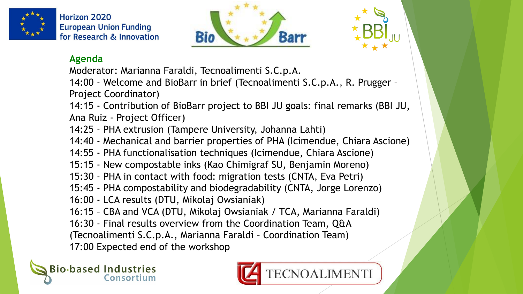

**Horizon 2020 European Union Funding** for Research & Innovation





## **Agenda**

Moderator: Marianna Faraldi, Tecnoalimenti S.C.p.A.

14:00 - Welcome and BioBarr in brief (Tecnoalimenti S.C.p.A., R. Prugger – Project Coordinator)

14:15 - Contribution of BioBarr project to BBI JU goals: final remarks (BBI JU, Ana Ruiz - Project Officer)

- 14:25 PHA extrusion (Tampere University, Johanna Lahti)
- 14:40 Mechanical and barrier properties of PHA (Icimendue, Chiara Ascione)
- 14:55 PHA functionalisation techniques (Icimendue, Chiara Ascione)
- 15:15 New compostable inks (Kao Chimigraf SU, Benjamin Moreno)
- 15:30 PHA in contact with food: migration tests (CNTA, Eva Petri)
- 15:45 PHA compostability and biodegradability (CNTA, Jorge Lorenzo)
- 16:00 LCA results (DTU, Mikolaj Owsianiak)
- 16:15 CBA and VCA (DTU, Mikolaj Owsianiak / TCA, Marianna Faraldi)
- 16:30 Final results overview from the Coordination Team, Q&A

(Tecnoalimenti S.C.p.A., Marianna Faraldi – Coordination Team)

17:00 Expected end of the workshop